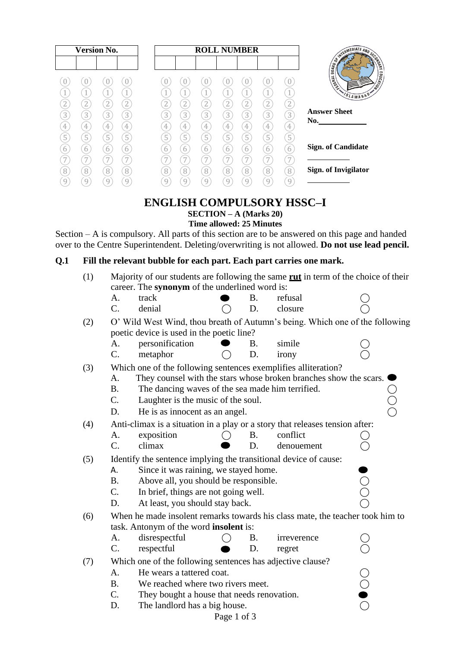| <b>Version No.</b> |                                  |                     |                     | <b>ROLL NUMBER</b>  |                          |                     |                                  |                                  |                                  |        |                             |
|--------------------|----------------------------------|---------------------|---------------------|---------------------|--------------------------|---------------------|----------------------------------|----------------------------------|----------------------------------|--------|-----------------------------|
|                    |                                  |                     |                     |                     |                          |                     |                                  |                                  |                                  |        | SWITCHIEDLATE AND SECOND    |
|                    | 1                                | U                   |                     |                     |                          |                     | 4                                |                                  | $\overline{4}$                   |        | <b>EDUCATION</b><br>THEREAL |
|                    | $\overline{2}$                   | 2                   | $\overline{2}$      | n<br>∠              | $\overline{\phantom{a}}$ | $\overline{2}$      | $\overline{2}$                   | 2                                | Щ<br>$\overline{2}$              |        | SLAMABAD*                   |
| 3                  | 3                                | 3                   | 3                   | 3                   | 3                        | 3                   | 3                                | 3                                | 3                                | 3      | <b>Answer Sheet</b><br>No.  |
| 4<br>5             | $\overline{4}$<br>$\overline{5}$ | $\overline{4}$<br>5 | 4<br>$\overline{5}$ | $\overline{4}$<br>5 | 4<br>$\overline{5}$      | 4<br>$\overline{5}$ | $\overline{4}$<br>$\overline{5}$ | $\overline{4}$<br>$\overline{5}$ | $\overline{4}$<br>$\overline{5}$ | 4<br>5 |                             |
| b                  | 6                                | 6                   | 6                   | 6                   | 6                        | 6                   | 6                                | 6                                | 6                                | 6      | <b>Sign. of Candidate</b>   |
|                    |                                  | 7                   | 7                   |                     |                          | $\overline{ }$      | 7                                | 7                                | 7                                | 7      |                             |
| 8                  | 8<br>q                           | 8<br>9              | 8<br>9              | 8                   | 8<br>9                   | 8<br>9              | 8<br>q                           | 8<br>9                           | $\mathbf{8}$<br>9                | 8<br>9 | Sign. of Invigilator        |
|                    |                                  |                     |                     |                     |                          |                     |                                  |                                  |                                  |        |                             |

### **ENGLISH COMPULSORY HSSC–I SECTION – A (Marks 20) Time allowed: 25 Minutes**

Section – A is compulsory. All parts of this section are to be answered on this page and handed over to the Centre Superintendent. Deleting/overwriting is not allowed. **Do not use lead pencil.**

## **Q.1 Fill the relevant bubble for each part. Each part carries one mark.**

| (1) |                                                                                                         | Majority of our students are following the same <b>rut</b> in term of the choice of their |               |           |             |  |  |  |  |  |  |  |  |
|-----|---------------------------------------------------------------------------------------------------------|-------------------------------------------------------------------------------------------|---------------|-----------|-------------|--|--|--|--|--|--|--|--|
|     | career. The synonym of the underlined word is:                                                          |                                                                                           |               |           |             |  |  |  |  |  |  |  |  |
|     | A.                                                                                                      | track                                                                                     |               | Β.        | refusal     |  |  |  |  |  |  |  |  |
|     | $\mathcal{C}$ .                                                                                         | denial                                                                                    |               | D.        | closure     |  |  |  |  |  |  |  |  |
| (2) |                                                                                                         | O' Wild West Wind, thou breath of Autumn's being. Which one of the following              |               |           |             |  |  |  |  |  |  |  |  |
|     | poetic device is used in the poetic line?                                                               |                                                                                           |               |           |             |  |  |  |  |  |  |  |  |
|     | А.                                                                                                      | personification                                                                           |               | В.        | simile      |  |  |  |  |  |  |  |  |
|     | C.                                                                                                      | metaphor                                                                                  |               | D.        | irony       |  |  |  |  |  |  |  |  |
| (3) | Which one of the following sentences exemplifies alliteration?                                          |                                                                                           |               |           |             |  |  |  |  |  |  |  |  |
|     | They counsel with the stars whose broken branches show the scars.<br>A.                                 |                                                                                           |               |           |             |  |  |  |  |  |  |  |  |
|     | <b>B.</b>                                                                                               | The dancing waves of the sea made him terrified.                                          |               |           |             |  |  |  |  |  |  |  |  |
|     | C.                                                                                                      | Laughter is the music of the soul.                                                        |               |           |             |  |  |  |  |  |  |  |  |
|     | D.                                                                                                      | He is as innocent as an angel.                                                            |               |           |             |  |  |  |  |  |  |  |  |
| (4) | Anti-climax is a situation in a play or a story that releases tension after:                            |                                                                                           |               |           |             |  |  |  |  |  |  |  |  |
|     | A.                                                                                                      | exposition                                                                                |               | <b>B.</b> | conflict    |  |  |  |  |  |  |  |  |
|     | $C_{\cdot}$                                                                                             | climax                                                                                    |               | D.        | denouement  |  |  |  |  |  |  |  |  |
| (5) |                                                                                                         | Identify the sentence implying the transitional device of cause:                          |               |           |             |  |  |  |  |  |  |  |  |
|     | Since it was raining, we stayed home.<br>А.<br>OO<br>Above all, you should be responsible.<br><b>B.</b> |                                                                                           |               |           |             |  |  |  |  |  |  |  |  |
|     |                                                                                                         |                                                                                           |               |           |             |  |  |  |  |  |  |  |  |
|     | C.                                                                                                      | In brief, things are not going well.                                                      |               |           |             |  |  |  |  |  |  |  |  |
|     | D.                                                                                                      | At least, you should stay back.                                                           |               |           |             |  |  |  |  |  |  |  |  |
| (6) |                                                                                                         | When he made insolent remarks towards his class mate, the teacher took him to             |               |           |             |  |  |  |  |  |  |  |  |
|     |                                                                                                         | task. Antonym of the word <b>insolent</b> is:                                             |               |           |             |  |  |  |  |  |  |  |  |
|     | A.                                                                                                      | disrespectful                                                                             |               | Β.        | irreverence |  |  |  |  |  |  |  |  |
|     | C.                                                                                                      | respectful                                                                                |               | D.        | regret      |  |  |  |  |  |  |  |  |
| (7) | Which one of the following sentences has adjective clause?                                              |                                                                                           |               |           |             |  |  |  |  |  |  |  |  |
|     | A.                                                                                                      | He wears a tattered coat.                                                                 |               |           |             |  |  |  |  |  |  |  |  |
|     | <b>B.</b>                                                                                               | We reached where two rivers meet.                                                         | $\frac{1}{2}$ |           |             |  |  |  |  |  |  |  |  |
|     | C.                                                                                                      | They bought a house that needs renovation.                                                |               |           |             |  |  |  |  |  |  |  |  |
|     | D.<br>The landlord has a big house.                                                                     |                                                                                           |               |           |             |  |  |  |  |  |  |  |  |
|     |                                                                                                         |                                                                                           | Page 1 of 3   |           |             |  |  |  |  |  |  |  |  |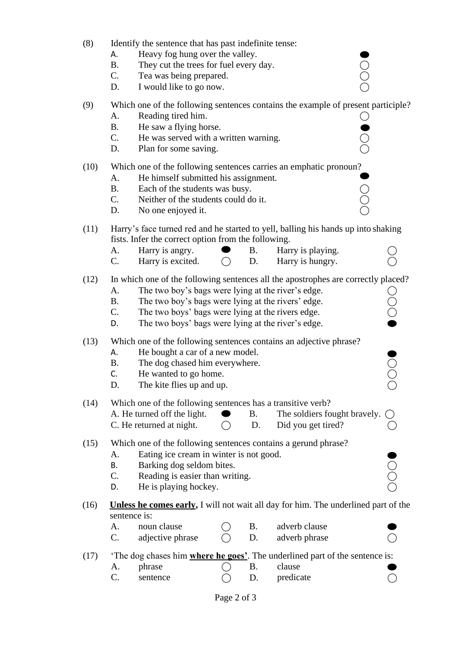| (8)  | Identify the sentence that has past indefinite tense:<br>Heavy fog hung over the valley.<br>Α.<br>$\bigcirc$<br><b>B.</b><br>They cut the trees for fuel every day.<br>$C_{\cdot}$<br>Tea was being prepared.<br>I would like to go now.<br>D.                                                                                                        |  |  |  |  |  |  |  |  |
|------|-------------------------------------------------------------------------------------------------------------------------------------------------------------------------------------------------------------------------------------------------------------------------------------------------------------------------------------------------------|--|--|--|--|--|--|--|--|
| (9)  | Which one of the following sentences contains the example of present participle?<br>Reading tired him.<br>A.<br><b>B.</b><br>He saw a flying horse.<br>C.<br>He was served with a written warning.<br>D.<br>Plan for some saving.                                                                                                                     |  |  |  |  |  |  |  |  |
| (10) | Which one of the following sentences carries an emphatic pronoun?<br>A.<br>He himself submitted his assignment.<br><b>B.</b><br>Each of the students was busy.<br>$C_{\cdot}$<br>Neither of the students could do it.<br>D.<br>No one enjoyed it.                                                                                                     |  |  |  |  |  |  |  |  |
| (11) | Harry's face turned red and he started to yell, balling his hands up into shaking<br>fists. Infer the correct option from the following.<br>Harry is angry.<br>Harry is playing.<br>A.<br>Β.<br>$C_{\cdot}$<br>Harry is excited.<br>D.<br>Harry is hungry.<br>$\bigcirc$                                                                              |  |  |  |  |  |  |  |  |
| (12) | In which one of the following sentences all the apostrophes are correctly placed?<br>The two boy's bags were lying at the river's edge.<br>A.<br>$\bigcirc$<br>The two boy's bags were lying at the rivers' edge.<br><b>B.</b><br>C.<br>The two boys' bags were lying at the rivers edge.<br>The two boys' bags were lying at the river's edge.<br>D. |  |  |  |  |  |  |  |  |
| (13) | Which one of the following sentences contains an adjective phrase?<br>He bought a car of a new model.<br>А.<br>The dog chased him everywhere.<br><b>B.</b><br>C.<br>He wanted to go home.<br>D.<br>The kite flies up and up.                                                                                                                          |  |  |  |  |  |  |  |  |
| (14) | Which one of the following sentences has a transitive verb?<br>A. He turned off the light.<br>The soldiers fought bravely.<br><b>B.</b><br>Did you get tired?<br>C. He returned at night.<br>D.                                                                                                                                                       |  |  |  |  |  |  |  |  |
| (15) | Which one of the following sentences contains a gerund phrase?<br>Eating ice cream in winter is not good.<br>A.<br>Ō<br>O<br>O<br>Barking dog seldom bites.<br>Β.<br>C.<br>Reading is easier than writing.<br>He is playing hockey.<br>D.                                                                                                             |  |  |  |  |  |  |  |  |
| (16) | <b>Unless he comes early, I</b> will not wait all day for him. The underlined part of the<br>sentence is:<br>noun clause<br>adverb clause<br>A.<br>B.<br>C.<br>D.<br>adjective phrase<br>adverb phrase                                                                                                                                                |  |  |  |  |  |  |  |  |
| (17) | The dog chases him <b>where he goes</b> '. The underlined part of the sentence is:<br>B.<br>clause<br>A.<br>phrase<br>C.<br>predicate<br>D.<br>sentence                                                                                                                                                                                               |  |  |  |  |  |  |  |  |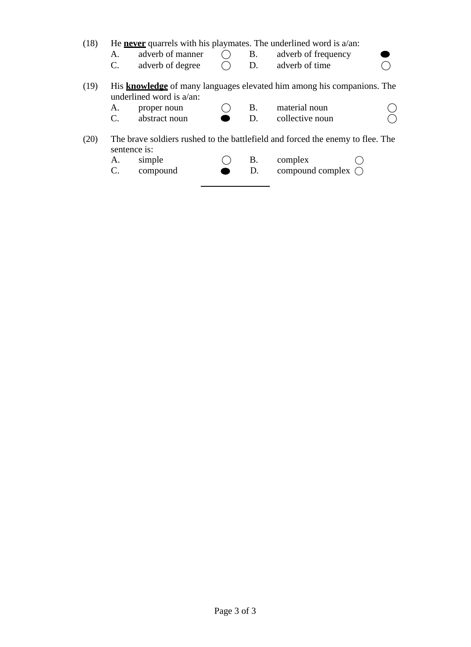(18) He **never** quarrels with his playmates. The underlined word is a/an:

- A. adverb of manner  $\bigcirc$  B. adverb of frequency<br>C. adverb of degree  $\bigcirc$  D. adverb of time
- adverb of degree  $\bigcirc$  D. adverb of time  $\bigcirc$
- (19) His **knowledge** of many languages elevated him among his companions. The underlined word is a/an:
	- A. proper noun  $\bigcirc$  B. material noun  $\bigcirc$ <br>C. abstract noun  $\bigcirc$  D. collective noun  $\bigcirc$ 
		-
	-
- collective noun
- (20) The brave soldiers rushed to the battlefield and forced the enemy to flee. The sentence is:
	- A. simple  $\bigcirc$  B. complex  $\bigcirc$
	- C. compound  $\bullet$  D. compound complex  $\bigcirc$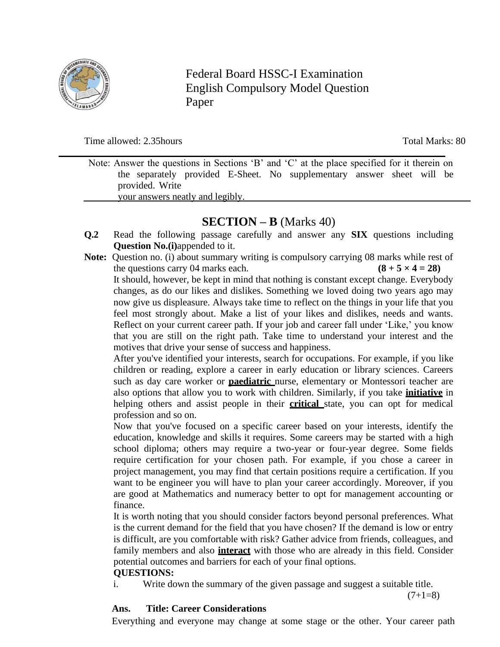

Federal Board HSSC-I Examination English Compulsory Model Question Paper

### Time allowed: 2.35hours Total Marks: 80

Note: Answer the questions in Sections 'B' and 'C' at the place specified for it therein on the separately provided E-Sheet. No supplementary answer sheet will be provided. Write

your answers neatly and legibly.

# **SECTION – B** (Marks 40)

- **Q.2** Read the following passage carefully and answer any **SIX** questions including **Question No.(i)**appended to it.
- **Note:** Question no. (i) about summary writing is compulsory carrying 08 marks while rest of the questions carry 04 marks each. **(8 + 5**  $\times$  **4 = 28)** It should, however, be kept in mind that nothing is constant except change. Everybody changes, as do our likes and dislikes. Something we loved doing two years ago may now give us displeasure. Always take time to reflect on the things in your life that you feel most strongly about. Make a list of your likes and dislikes, needs and wants. Reflect on your current career path. If your job and career fall under 'Like,' you know that you are still on the right path. Take time to understand your interest and the motives that drive your sense of success and happiness.

After you've identified your interests, search for occupations. For example, if you like children or reading, explore a career in early education or library sciences. Careers such as day care worker or **paediatric** nurse, elementary or Montessori teacher are also options that allow you to work with children. Similarly, if you take **initiative** in helping others and assist people in their **critical** state, you can opt for medical profession and so on.

Now that you've focused on a specific career based on your interests, identify the education, knowledge and skills it requires. Some careers may be started with a high school diploma; others may require a two-year or four-year degree. Some fields require certification for your chosen path. For example, if you chose a career in project management, you may find that certain positions require a certification. If you want to be engineer you will have to plan your career accordingly. Moreover, if you are good at Mathematics and numeracy better to opt for management accounting or finance.

It is worth noting that you should consider factors beyond personal preferences. What is the current demand for the field that you have chosen? If the demand is low or entry is difficult, are you comfortable with risk? Gather advice from friends, colleagues, and family members and also **interact** with those who are already in this field. Consider potential outcomes and barriers for each of your final options.

## **QUESTIONS:**

i. Write down the summary of the given passage and suggest a suitable title.

 $(7+1=8)$ 

## **Ans. Title: Career Considerations**

Everything and everyone may change at some stage or the other. Your career path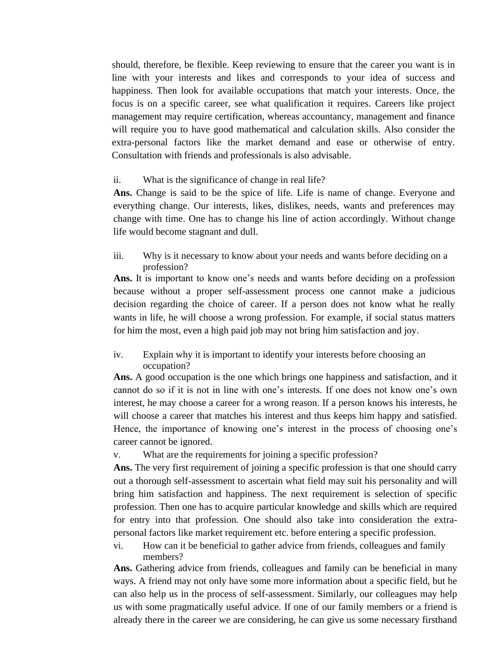should, therefore, be flexible. Keep reviewing to ensure that the career you want is in line with your interests and likes and corresponds to your idea of success and happiness. Then look for available occupations that match your interests. Once, the focus is on a specific career, see what qualification it requires. Careers like project management may require certification, whereas accountancy, management and finance will require you to have good mathematical and calculation skills. Also consider the extra-personal factors like the market demand and ease or otherwise of entry. Consultation with friends and professionals is also advisable.

#### ii. What is the significance of change in real life?

**Ans.** Change is said to be the spice of life. Life is name of change. Everyone and everything change. Our interests, likes, dislikes, needs, wants and preferences may change with time. One has to change his line of action accordingly. Without change life would become stagnant and dull.

iii. Why is it necessary to know about your needs and wants before deciding on a profession?

**Ans.** It is important to know one's needs and wants before deciding on a profession because without a proper self-assessment process one cannot make a judicious decision regarding the choice of career. If a person does not know what he really wants in life, he will choose a wrong profession. For example, if social status matters for him the most, even a high paid job may not bring him satisfaction and joy.

iv. Explain why it is important to identify your interests before choosing an occupation?

**Ans.** A good occupation is the one which brings one happiness and satisfaction, and it cannot do so if it is not in line with one's interests. If one does not know one's own interest, he may choose a career for a wrong reason. If a person knows his interests, he will choose a career that matches his interest and thus keeps him happy and satisfied. Hence, the importance of knowing one's interest in the process of choosing one's career cannot be ignored.

v. What are the requirements for joining a specific profession?

**Ans.** The very first requirement of joining a specific profession is that one should carry out a thorough self-assessment to ascertain what field may suit his personality and will bring him satisfaction and happiness. The next requirement is selection of specific profession. Then one has to acquire particular knowledge and skills which are required for entry into that profession. One should also take into consideration the extrapersonal factors like market requirement etc. before entering a specific profession.

vi. How can it be beneficial to gather advice from friends, colleagues and family members?

**Ans.** Gathering advice from friends, colleagues and family can be beneficial in many ways. A friend may not only have some more information about a specific field, but he can also help us in the process of self-assessment. Similarly, our colleagues may help us with some pragmatically useful advice. If one of our family members or a friend is already there in the career we are considering, he can give us some necessary firsthand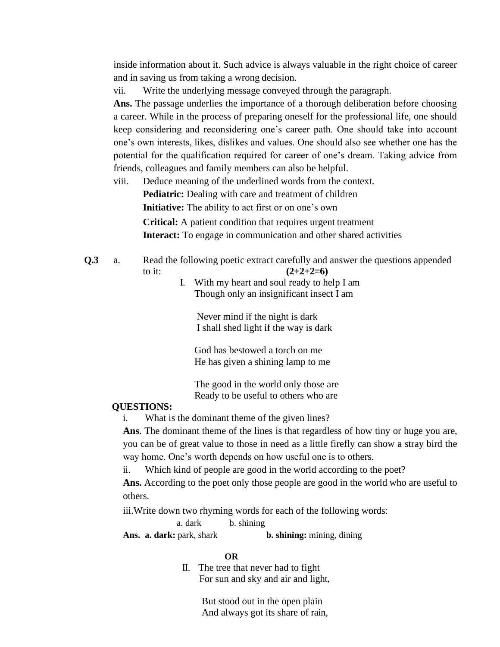inside information about it. Such advice is always valuable in the right choice of career and in saving us from taking a wrong decision.

vii. Write the underlying message conveyed through the paragraph.

**Ans.** The passage underlies the importance of a thorough deliberation before choosing a career. While in the process of preparing oneself for the professional life, one should keep considering and reconsidering one's career path. One should take into account one's own interests, likes, dislikes and values. One should also see whether one has the potential for the qualification required for career of one's dream. Taking advice from friends, colleagues and family members can also be helpful.

viii. Deduce meaning of the underlined words from the context. **Pediatric:** Dealing with care and treatment of children **Initiative:** The ability to act first or on one's own **Critical:** A patient condition that requires urgent treatment **Interact:** To engage in communication and other shared activities

**Q.3** a. Read the following poetic extract carefully and answer the questions appended to it:  $(2+2+2=6)$ 

I. With my heart and soul ready to help I am Though only an insignificant insect I am

Never mind if the night is dark I shall shed light if the way is dark

God has bestowed a torch on me He has given a shining lamp to me

The good in the world only those are Ready to be useful to others who are

#### **QUESTIONS:**

i. What is the dominant theme of the given lines?

**Ans**. The dominant theme of the lines is that regardless of how tiny or huge you are, you can be of great value to those in need as a little firefly can show a stray bird the way home. One's worth depends on how useful one is to others.

ii. Which kind of people are good in the world according to the poet?

**Ans.** According to the poet only those people are good in the world who are useful to others.

iii.Write down two rhyming words for each of the following words:

a. dark b. shining

**Ans. a. dark:** park, shark **b. shining:** mining, dining

#### **OR**

II. The tree that never had to fight For sun and sky and air and light,

> But stood out in the open plain And always got its share of rain,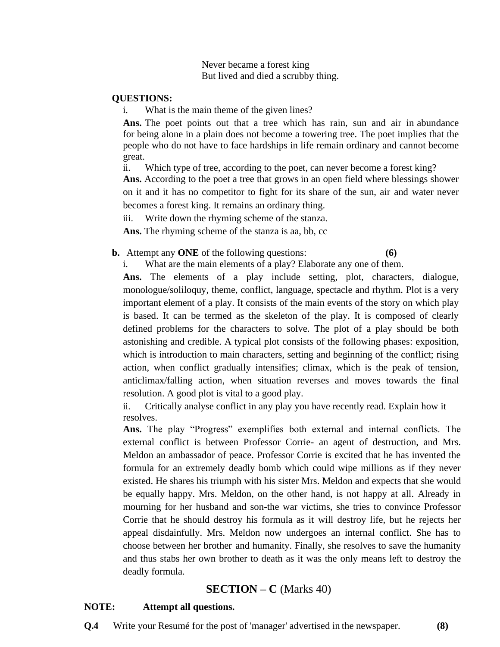Never became a forest king But lived and died a scrubby thing.

#### **QUESTIONS:**

i. What is the main theme of the given lines?

**Ans.** The poet points out that a tree which has rain, sun and air in abundance for being alone in a plain does not become a towering tree. The poet implies that the people who do not have to face hardships in life remain ordinary and cannot become great.

ii. Which type of tree, according to the poet, can never become a forest king?

**Ans.** According to the poet a tree that grows in an open field where blessings shower on it and it has no competitor to fight for its share of the sun, air and water never becomes a forest king. It remains an ordinary thing.

iii. Write down the rhyming scheme of the stanza.

**Ans.** The rhyming scheme of the stanza is aa, bb, cc

#### **b.** Attempt any **ONE** of the following questions: **(6)**

i. What are the main elements of a play? Elaborate any one of them.

**Ans.** The elements of a play include setting, plot, characters, dialogue, monologue/soliloquy, theme, conflict, language, spectacle and rhythm. Plot is a very important element of a play. It consists of the main events of the story on which play is based. It can be termed as the skeleton of the play. It is composed of clearly defined problems for the characters to solve. The plot of a play should be both astonishing and credible. A typical plot consists of the following phases: exposition, which is introduction to main characters, setting and beginning of the conflict; rising action, when conflict gradually intensifies; climax, which is the peak of tension, anticlimax/falling action, when situation reverses and moves towards the final resolution. A good plot is vital to a good play.

ii. Critically analyse conflict in any play you have recently read. Explain how it resolves.

**Ans.** The play "Progress" exemplifies both external and internal conflicts. The external conflict is between Professor Corrie- an agent of destruction, and Mrs. Meldon an ambassador of peace. Professor Corrie is excited that he has invented the formula for an extremely deadly bomb which could wipe millions as if they never existed. He shares his triumph with his sister Mrs. Meldon and expects that she would be equally happy. Mrs. Meldon, on the other hand, is not happy at all. Already in mourning for her husband and son-the war victims, she tries to convince Professor Corrie that he should destroy his formula as it will destroy life, but he rejects her appeal disdainfully. Mrs. Meldon now undergoes an internal conflict. She has to choose between her brother and humanity. Finally, she resolves to save the humanity and thus stabs her own brother to death as it was the only means left to destroy the deadly formula.

## **SECTION – C** (Marks 40)

#### **NOTE: Attempt all questions.**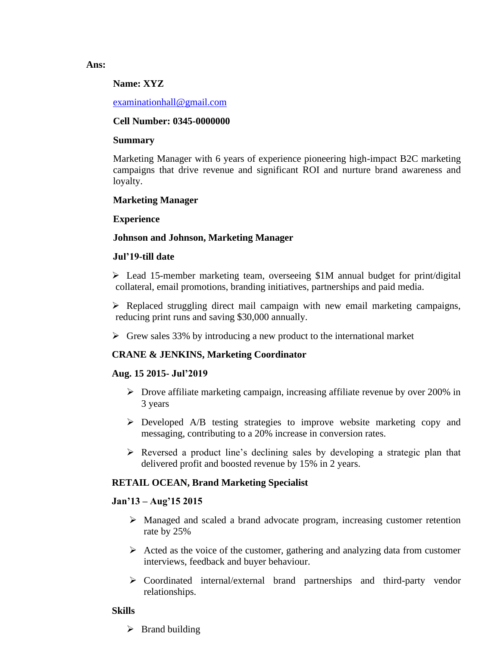# **Name: XYZ**

### [examinationhall@gmail.com](mailto:examinationhall@gmail.com)

#### **Cell Number: 0345-0000000**

#### **Summary**

Marketing Manager with 6 years of experience pioneering high-impact B2C marketing campaigns that drive revenue and significant ROI and nurture brand awareness and loyalty.

#### **Marketing Manager**

#### **Experience**

#### **Johnson and Johnson, Marketing Manager**

#### **Jul'19-till date**

➢ Lead 15-member marketing team, overseeing \$1M annual budget for print/digital collateral, email promotions, branding initiatives, partnerships and paid media.

➢ Replaced struggling direct mail campaign with new email marketing campaigns, reducing print runs and saving \$30,000 annually.

 $\triangleright$  Grew sales 33% by introducing a new product to the international market

#### **CRANE & JENKINS, Marketing Coordinator**

#### **Aug. 15 2015- Jul'2019**

- $\triangleright$  Drove affiliate marketing campaign, increasing affiliate revenue by over 200% in 3 years
- ➢ Developed A/B testing strategies to improve website marketing copy and messaging, contributing to a 20% increase in conversion rates.
- $\triangleright$  Reversed a product line's declining sales by developing a strategic plan that delivered profit and boosted revenue by 15% in 2 years.

#### **RETAIL OCEAN, Brand Marketing Specialist**

#### **Jan'13 – Aug'15 2015**

- ➢ Managed and scaled a brand advocate program, increasing customer retention rate by 25%
- $\triangleright$  Acted as the voice of the customer, gathering and analyzing data from customer interviews, feedback and buyer behaviour.
- ➢ Coordinated internal/external brand partnerships and third-party vendor relationships.

#### **Skills**

 $\triangleright$  Brand building

#### **Ans:**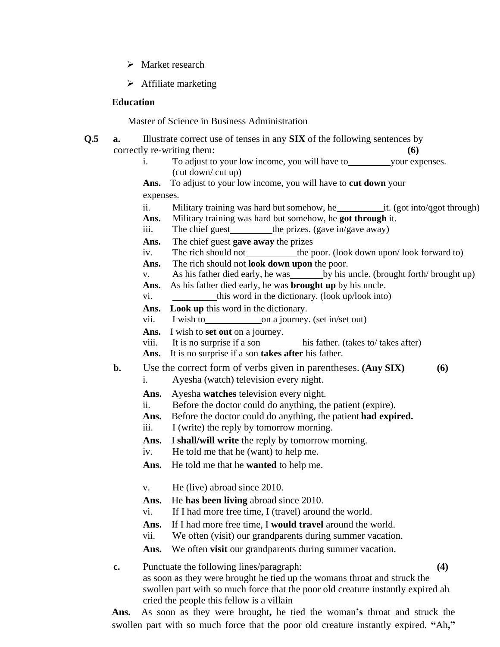- ➢ Market research
- $\triangleright$  Affiliate marketing

#### **Education**

Master of Science in Business Administration

- **Q.5 a.** Illustrate correct use of tenses in any **SIX** of the following sentences by correctly re-writing them: **(6)**
	- i. To adjust to your low income, you will have to your expenses. (cut down/ cut up)

**Ans.** To adjust to your low income, you will have to **cut down** your expenses.

- ii. Military training was hard but somehow, he it. (got into/qgot through)
- **Ans.** Military training was hard but somehow, he **got through** it.
- iii. The chief guest the prizes. (gave in/gave away)
- **Ans.** The chief guest **gave away** the prizes
- iv. The rich should not \_\_\_\_\_\_\_\_\_\_\_the poor. (look down upon/ look forward to)
- **Ans.** The rich should not **look down upon** the poor.
- v. As his father died early, he was by his uncle. (brought forth/ brought up)
- **Ans.** As his father died early, he was **brought up** by his uncle.
- vi. this word in the dictionary. (look up/look into)
- **Ans. Look up** this word in the dictionary.
- vii. I wish to on a journey. (set in/set out)
- Ans. I wish to set out on a journey.
- viii. It is no surprise if a son his father. (takes to/ takes after)
- **Ans.** It is no surprise if a son **takes after** his father.
- **b.** Use the correct form of verbs given in parentheses. **(Any SIX) (6)**
	- i. Ayesha (watch) television every night.
	- **Ans.** Ayesha **watches** television every night.
	- ii. Before the doctor could do anything, the patient (expire).
	- **Ans.** Before the doctor could do anything, the patient **had expired.**
	- iii. I (write) the reply by tomorrow morning.
	- **Ans.** I **shall/will write** the reply by tomorrow morning.
	- iv. He told me that he (want) to help me.
	- **Ans.** He told me that he **wanted** to help me.
	- v. He (live) abroad since 2010.
	- **Ans.** He **has been living** abroad since 2010.
	- vi. If I had more free time, I (travel) around the world.
	- **Ans.** If I had more free time, I **would travel** around the world.
	- vii. We often (visit) our grandparents during summer vacation.

**Ans.** We often **visit** our grandparents during summer vacation.

**c.** Punctuate the following lines/paragraph: **(4)**

as soon as they were brought he tied up the womans throat and struck the swollen part with so much force that the poor old creature instantly expired ah cried the people this fellow is a villain

**Ans.** As soon as they were brought**,** he tied the woman**'s** throat and struck the swollen part with so much force that the poor old creature instantly expired. **"**Ah**,"**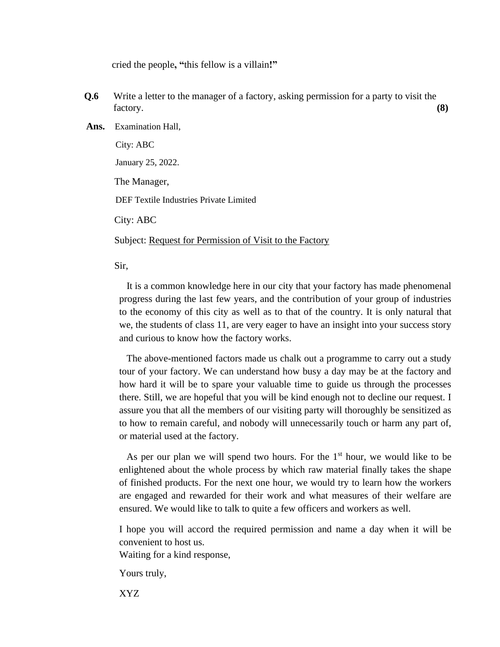cried the people**, "**this fellow is a villain**!"**

- **Q.6** Write a letter to the manager of a factory, asking permission for a party to visit the factory. **(8)**
- **Ans.** Examination Hall,

City: ABC January 25, 2022. The Manager, DEF Textile Industries Private Limited City: ABC Subject: Request for Permission of Visit to the Factory

Sir,

It is a common knowledge here in our city that your factory has made phenomenal progress during the last few years, and the contribution of your group of industries to the economy of this city as well as to that of the country. It is only natural that we, the students of class 11, are very eager to have an insight into your success story and curious to know how the factory works.

The above-mentioned factors made us chalk out a programme to carry out a study tour of your factory. We can understand how busy a day may be at the factory and how hard it will be to spare your valuable time to guide us through the processes there. Still, we are hopeful that you will be kind enough not to decline our request. I assure you that all the members of our visiting party will thoroughly be sensitized as to how to remain careful, and nobody will unnecessarily touch or harm any part of, or material used at the factory.

As per our plan we will spend two hours. For the  $1<sup>st</sup>$  hour, we would like to be enlightened about the whole process by which raw material finally takes the shape of finished products. For the next one hour, we would try to learn how the workers are engaged and rewarded for their work and what measures of their welfare are ensured. We would like to talk to quite a few officers and workers as well.

I hope you will accord the required permission and name a day when it will be convenient to host us.

Waiting for a kind response,

Yours truly,

XYZ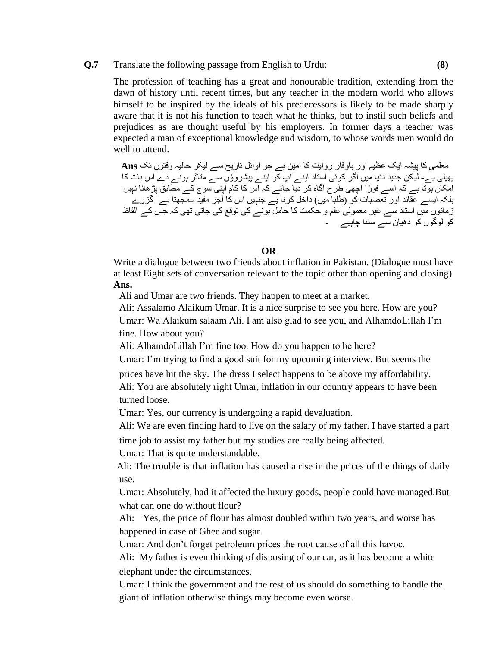#### **Q.7** Translate the following passage from English to Urdu: **(8)**

The profession of teaching has a great and honourable tradition, extending from the dawn of history until recent times, but any teacher in the modern world who allows himself to be inspired by the ideals of his predecessors is likely to be made sharply aware that it is not his function to teach what he thinks, but to instil such beliefs and prejudices as are thought useful by his employers. In former days a teacher was expected a man of exceptional knowledge and wisdom, to whose words men would do well to attend.

معلمی کا پیشہ ایک عظیم اور باوقار روایت کا امین ہے جو اوائل تاریخ سے لیکر حالیہ وقتوں تک **Ans** پھیلی یے - لیکن جدید دنیا میں اگر کوئی استاد اپنے ا پ کو اپنے پیشروٗوں سے متاثر ہونے دے اس بات کا امکان ہوتا ہے کہ اسے فورًا اچھی طرح آگاہ کر دیا جائے کہ اس کا کام اپنی سوچ کے مطابق پڑھانا نہیں بلکہ ایسے عقائد اور تعصبات کو (طلبا میں) داخل کرنا یے جنہیں اس کا آجر مفید سمجھتا ہے- گزرے زمانوں میں استاد سے غیر معمولی علم و حکمت کا حامل ہونے کی توقع کی جاتی تھی کہ جس کے الفاظ کو لوگوں کو دھیان سے سننا چاہیے ۔

**OR**

Write a dialogue between two friends about inflation in Pakistan. (Dialogue must have at least Eight sets of conversation relevant to the topic other than opening and closing) **Ans.** 

Ali and Umar are two friends. They happen to meet at a market.

Ali: Assalamo Alaikum Umar. It is a nice surprise to see you here. How are you?

Umar: Wa Alaikum salaam Ali. I am also glad to see you, and AlhamdoLillah I'm fine. How about you?

Ali: AlhamdoLillah I'm fine too. How do you happen to be here?

Umar: I'm trying to find a good suit for my upcoming interview. But seems the

prices have hit the sky. The dress I select happens to be above my affordability. Ali: You are absolutely right Umar, inflation in our country appears to have been turned loose.

Umar: Yes, our currency is undergoing a rapid devaluation.

Ali: We are even finding hard to live on the salary of my father. I have started a part

time job to assist my father but my studies are really being affected.

Umar: That is quite understandable.

 Ali: The trouble is that inflation has caused a rise in the prices of the things of daily use.

Umar: Absolutely, had it affected the luxury goods, people could have managed.But what can one do without flour?

Ali: Yes, the price of flour has almost doubled within two years, and worse has happened in case of Ghee and sugar.

Umar: And don't forget petroleum prices the root cause of all this havoc.

Ali: My father is even thinking of disposing of our car, as it has become a white elephant under the circumstances.

Umar: I think the government and the rest of us should do something to handle the giant of inflation otherwise things may become even worse.